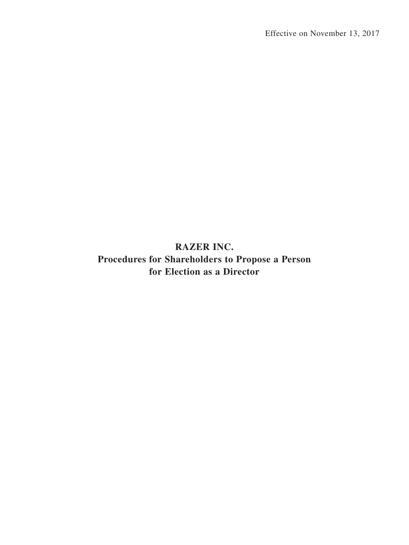**RAZER INC. Procedures for Shareholders to Propose a Person for Election as a Director**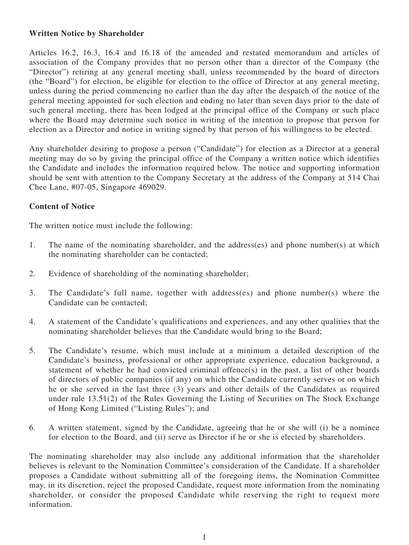## **Written Notice by Shareholder**

Articles 16.2, 16.3, 16.4 and 16.18 of the amended and restated memorandum and articles of association of the Company provides that no person other than a director of the Company (the "Director") retiring at any general meeting shall, unless recommended by the board of directors (the "Board") for election, be eligible for election to the office of Director at any general meeting, unless during the period commencing no earlier than the day after the despatch of the notice of the general meeting appointed for such election and ending no later than seven days prior to the date of such general meeting, there has been lodged at the principal office of the Company or such place where the Board may determine such notice in writing of the intention to propose that person for election as a Director and notice in writing signed by that person of his willingness to be elected.

Any shareholder desiring to propose a person ("Candidate") for election as a Director at a general meeting may do so by giving the principal office of the Company a written notice which identifies the Candidate and includes the information required below. The notice and supporting information should be sent with attention to the Company Secretary at the address of the Company at 514 Chai Chee Lane, #07-05, Singapore 469029.

## **Content of Notice**

The written notice must include the following:

- 1. The name of the nominating shareholder, and the address(es) and phone number(s) at which the nominating shareholder can be contacted;
- 2. Evidence of shareholding of the nominating shareholder;
- 3. The Candidate's full name, together with address(es) and phone number(s) where the Candidate can be contacted;
- 4. A statement of the Candidate's qualifications and experiences, and any other qualities that the nominating shareholder believes that the Candidate would bring to the Board;
- 5. The Candidate's resume, which must include at a minimum a detailed description of the Candidate's business, professional or other appropriate experience, education background, a statement of whether he had convicted criminal offence(s) in the past, a list of other boards of directors of public companies (if any) on which the Candidate currently serves or on which he or she served in the last three (3) years and other details of the Candidates as required under rule 13.51(2) of the Rules Governing the Listing of Securities on The Stock Exchange of Hong Kong Limited ("Listing Rules"); and
- 6. A written statement, signed by the Candidate, agreeing that he or she will (i) be a nominee for election to the Board, and (ii) serve as Director if he or she is elected by shareholders.

The nominating shareholder may also include any additional information that the shareholder believes is relevant to the Nomination Committee's consideration of the Candidate. If a shareholder proposes a Candidate without submitting all of the foregoing items, the Nomination Committee may, in its discretion, reject the proposed Candidate, request more information from the nominating shareholder, or consider the proposed Candidate while reserving the right to request more information.